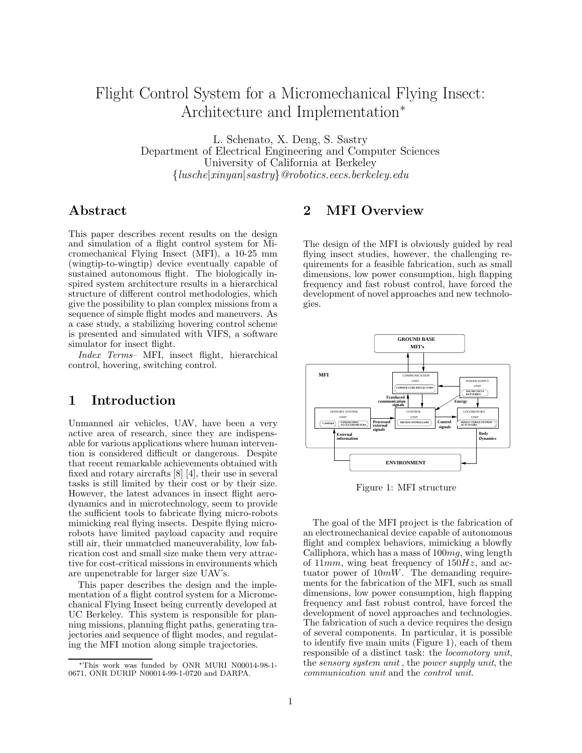# Flight Control System for a Micromechanical Flying Insect: Architecture and Implementation<sup>∗</sup>

L. Schenato, X. Deng, S. Sastry Department of Electrical Engineering and Computer Sciences University of California at Berkeley {lusche|xinyan|sastry}@robotics.eecs.berkeley.edu

### Abstract

This paper describes recent results on the design and simulation of a flight control system for Micromechanical Flying Insect (MFI), a 10-25 mm (wingtip-to-wingtip) device eventually capable of sustained autonomous flight. The biologically inspired system architecture results in a hierarchical structure of different control methodologies, which give the possibility to plan complex missions from a sequence of simple flight modes and maneuvers. As a case study, a stabilizing hovering control scheme is presented and simulated with VIFS, a software simulator for insect flight.

Index Terms– MFI, insect flight, hierarchical control, hovering, switching control.

### 1 Introduction

Unmanned air vehicles, UAV, have been a very active area of research, since they are indispensable for various applications where human intervention is considered difficult or dangerous. Despite that recent remarkable achievements obtained with fixed and rotary aircrafts [8] [4], their use in several tasks is still limited by their cost or by their size. However, the latest advances in insect flight aerodynamics and in microtechnology, seem to provide the sufficient tools to fabricate flying micro-robots mimicking real flying insects. Despite flying microrobots have limited payload capacity and require still air, their unmatched maneuverability, low fabrication cost and small size make them very attractive for cost-critical missions in environments which are unpenetrable for larger size UAV's.

This paper describes the design and the implementation of a flight control system for a Micromechanical Flying Insect being currently developed at UC Berkeley. This system is responsible for planning missions, planning flight paths, generating trajectories and sequence of flight modes, and regulating the MFI motion along simple trajectories.

## 2 MFI Overview

The design of the MFI is obviously guided by real flying insect studies, however, the challenging requirements for a feasible fabrication, such as small dimensions, low power consumption, high flapping frequency and fast robust control, have forced the development of novel approaches and new technologies.



Figure 1: MFI structure

The goal of the MFI project is the fabrication of an electromechanical device capable of autonomous flight and complex behaviors, mimicking a blowfly Calliphora, which has a mass of  $100mg$ , wing length of  $11mm$ , wing beat frequency of  $150Hz$ , and actuator power of  $10mW$ . The demanding requirements for the fabrication of the MFI, such as small dimensions, low power consumption, high flapping frequency and fast robust control, have forced the development of novel approaches and technologies. The fabrication of such a device requires the design of several components. In particular, it is possible to identify five main units (Figure 1), each of them responsible of a distinct task: the locomotory unit, the sensory system unit , the power supply unit, the communication unit and the control unit.

<sup>∗</sup>This work was funded by ONR MURI N00014-98-1- 0671, ONR DURIP N00014-99-1-0720 and DARPA.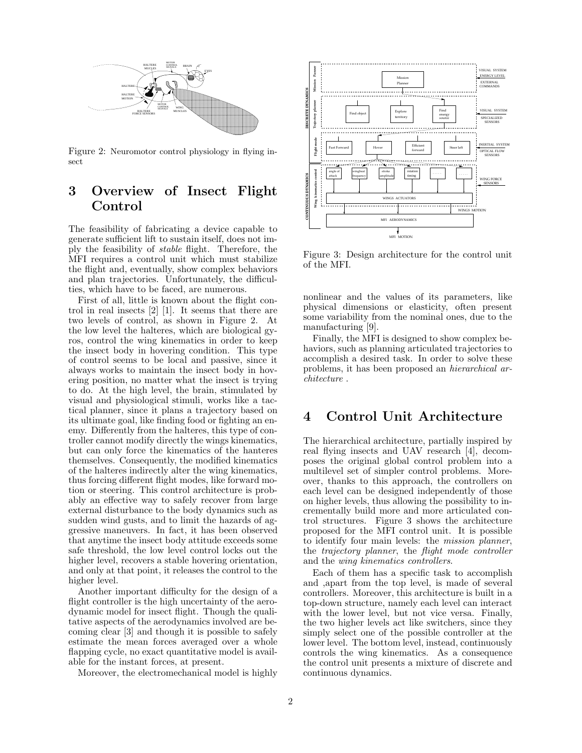

Figure 2: Neuromotor control physiology in flying insect

## 3 Overview of Insect Flight Control

The feasibility of fabricating a device capable to generate sufficient lift to sustain itself, does not imply the feasibility of stable flight. Therefore, the MFI requires a control unit which must stabilize the flight and, eventually, show complex behaviors and plan trajectories. Unfortunately, the difficulties, which have to be faced, are numerous.

First of all, little is known about the flight control in real insects [2] [1]. It seems that there are two levels of control, as shown in Figure 2. At the low level the halteres, which are biological gyros, control the wing kinematics in order to keep the insect body in hovering condition. This type of control seems to be local and passive, since it always works to maintain the insect body in hovering position, no matter what the insect is trying to do. At the high level, the brain, stimulated by visual and physiological stimuli, works like a tactical planner, since it plans a trajectory based on its ultimate goal, like finding food or fighting an enemy. Differently from the halteres, this type of controller cannot modify directly the wings kinematics, but can only force the kinematics of the hanteres themselves. Consequently, the modified kinematics of the halteres indirectly alter the wing kinematics, thus forcing different flight modes, like forward motion or steering. This control architecture is probably an effective way to safely recover from large external disturbance to the body dynamics such as sudden wind gusts, and to limit the hazards of aggressive maneuvers. In fact, it has been observed that anytime the insect body attitude exceeds some safe threshold, the low level control locks out the higher level, recovers a stable hovering orientation, and only at that point, it releases the control to the higher level.

Another important difficulty for the design of a flight controller is the high uncertainty of the aerodynamic model for insect flight. Though the qualitative aspects of the aerodynamics involved are becoming clear [3] and though it is possible to safely estimate the mean forces averaged over a whole flapping cycle, no exact quantitative model is available for the instant forces, at present.

Moreover, the electromechanical model is highly



Figure 3: Design architecture for the control unit of the MFI.

nonlinear and the values of its parameters, like physical dimensions or elasticity, often present some variability from the nominal ones, due to the manufacturing [9].

Finally, the MFI is designed to show complex behaviors, such as planning articulated trajectories to accomplish a desired task. In order to solve these problems, it has been proposed an hierarchical architecture .

### 4 Control Unit Architecture

The hierarchical architecture, partially inspired by real flying insects and UAV research [4], decomposes the original global control problem into a multilevel set of simpler control problems. Moreover, thanks to this approach, the controllers on each level can be designed independently of those on higher levels, thus allowing the possibility to incrementally build more and more articulated control structures. Figure 3 shows the architecture proposed for the MFI control unit. It is possible to identify four main levels: the mission planner, the trajectory planner, the flight mode controller and the wing kinematics controllers.

Each of them has a specific task to accomplish and ,apart from the top level, is made of several controllers. Moreover, this architecture is built in a top-down structure, namely each level can interact with the lower level, but not vice versa. Finally, the two higher levels act like switchers, since they simply select one of the possible controller at the lower level. The bottom level, instead, continuously controls the wing kinematics. As a consequence the control unit presents a mixture of discrete and continuous dynamics.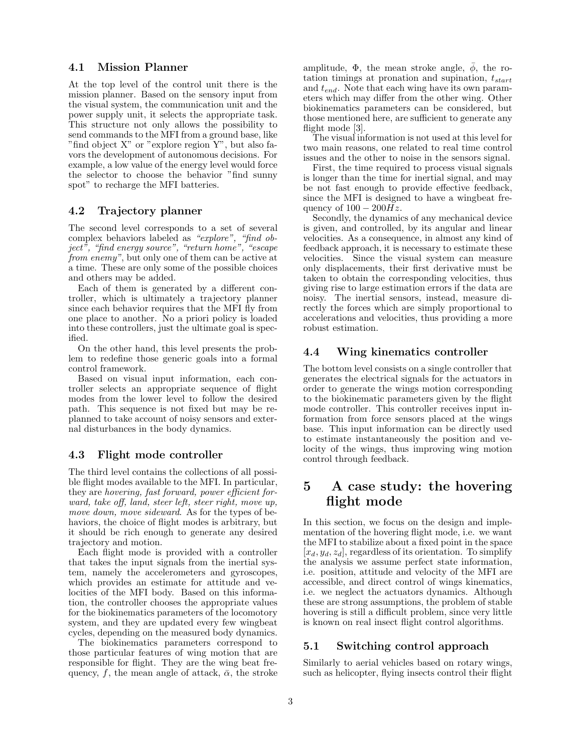#### 4.1 Mission Planner

At the top level of the control unit there is the mission planner. Based on the sensory input from the visual system, the communication unit and the power supply unit, it selects the appropriate task. This structure not only allows the possibility to send commands to the MFI from a ground base, like "find object X" or "explore region Y", but also favors the development of autonomous decisions. For example, a low value of the energy level would force the selector to choose the behavior "find sunny spot" to recharge the MFI batteries.

#### 4.2 Trajectory planner

The second level corresponds to a set of several complex behaviors labeled as "explore", "find object", "find energy source", "return home", "escape from enemy", but only one of them can be active at a time. These are only some of the possible choices and others may be added.

Each of them is generated by a different controller, which is ultimately a trajectory planner since each behavior requires that the MFI fly from one place to another. No a priori policy is loaded into these controllers, just the ultimate goal is specified.

On the other hand, this level presents the problem to redefine those generic goals into a formal control framework.

Based on visual input information, each controller selects an appropriate sequence of flight modes from the lower level to follow the desired path. This sequence is not fixed but may be replanned to take account of noisy sensors and external disturbances in the body dynamics.

#### 4.3 Flight mode controller

The third level contains the collections of all possible flight modes available to the MFI. In particular, they are hovering, fast forward, power efficient forward, take off, land, steer left, steer right, move up, move down, move sideward. As for the types of behaviors, the choice of flight modes is arbitrary, but it should be rich enough to generate any desired trajectory and motion.

Each flight mode is provided with a controller that takes the input signals from the inertial system, namely the accelerometers and gyroscopes, which provides an estimate for attitude and velocities of the MFI body. Based on this information, the controller chooses the appropriate values for the biokinematics parameters of the locomotory system, and they are updated every few wingbeat cycles, depending on the measured body dynamics.

The biokinematics parameters correspond to those particular features of wing motion that are responsible for flight. They are the wing beat frequency, f, the mean angle of attack,  $\bar{\alpha}$ , the stroke amplitude,  $\Phi$ , the mean stroke angle,  $\phi$ , the rotation timings at pronation and supination,  $t_{start}$ and  $t_{end}$ . Note that each wing have its own parameters which may differ from the other wing. Other biokinematics parameters can be considered, but those mentioned here, are sufficient to generate any flight mode [3].

The visual information is not used at this level for two main reasons, one related to real time control issues and the other to noise in the sensors signal.

First, the time required to process visual signals is longer than the time for inertial signal, and may be not fast enough to provide effective feedback, since the MFI is designed to have a wingbeat frequency of  $100 - 200Hz$ .

Secondly, the dynamics of any mechanical device is given, and controlled, by its angular and linear velocities. As a consequence, in almost any kind of feedback approach, it is necessary to estimate these velocities. Since the visual system can measure only displacements, their first derivative must be taken to obtain the corresponding velocities, thus giving rise to large estimation errors if the data are noisy. The inertial sensors, instead, measure directly the forces which are simply proportional to accelerations and velocities, thus providing a more robust estimation.

#### 4.4 Wing kinematics controller

The bottom level consists on a single controller that generates the electrical signals for the actuators in order to generate the wings motion corresponding to the biokinematic parameters given by the flight mode controller. This controller receives input information from force sensors placed at the wings base. This input information can be directly used to estimate instantaneously the position and velocity of the wings, thus improving wing motion control through feedback.

### 5 A case study: the hovering flight mode

In this section, we focus on the design and implementation of the hovering flight mode, i.e. we want the MFI to stabilize about a fixed point in the space  $[x_d, y_d, z_d]$ , regardless of its orientation. To simplify the analysis we assume perfect state information, i.e. position, attitude and velocity of the MFI are accessible, and direct control of wings kinematics, i.e. we neglect the actuators dynamics. Although these are strong assumptions, the problem of stable hovering is still a difficult problem, since very little is known on real insect flight control algorithms.

#### 5.1 Switching control approach

Similarly to aerial vehicles based on rotary wings, such as helicopter, flying insects control their flight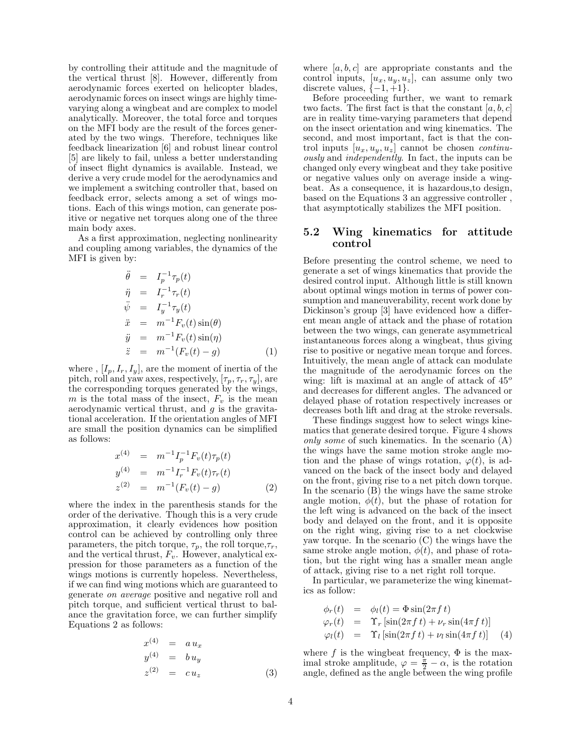by controlling their attitude and the magnitude of the vertical thrust [8]. However, differently from aerodynamic forces exerted on helicopter blades, aerodynamic forces on insect wings are highly timevarying along a wingbeat and are complex to model analytically. Moreover, the total force and torques on the MFI body are the result of the forces generated by the two wings. Therefore, techniques like feedback linearization [6] and robust linear control [5] are likely to fail, unless a better understanding of insect flight dynamics is available. Instead, we derive a very crude model for the aerodynamics and we implement a switching controller that, based on feedback error, selects among a set of wings motions. Each of this wings motion, can generate positive or negative net torques along one of the three main body axes.

As a first approximation, neglecting nonlinearity and coupling among variables, the dynamics of the MFI is given by:

$$
\ddot{\theta} = I_p^{-1} \tau_p(t)
$$
\n
$$
\ddot{\eta} = I_r^{-1} \tau_r(t)
$$
\n
$$
\ddot{\psi} = I_y^{-1} \tau_y(t)
$$
\n
$$
\ddot{x} = m^{-1} F_v(t) \sin(\theta)
$$
\n
$$
\ddot{y} = m^{-1} F_v(t) \sin(\eta)
$$
\n
$$
\ddot{z} = m^{-1} (F_v(t) - g)
$$
\n(1)

where ,  $[I_p, I_r, I_y]$ , are the moment of inertia of the pitch, roll and yaw axes, respectively,  $[\tau_p, \tau_r, \tau_y]$ , are the corresponding torques generated by the wings, m is the total mass of the insect,  $F_v$  is the mean aerodynamic vertical thrust, and  $g$  is the gravitational acceleration. If the orientation angles of MFI are small the position dynamics can be simplified as follows:

$$
x^{(4)} = m^{-1}I_p^{-1}F_v(t)\tau_p(t)
$$
  
\n
$$
y^{(4)} = m^{-1}I_r^{-1}F_v(t)\tau_r(t)
$$
  
\n
$$
z^{(2)} = m^{-1}(F_v(t) - g)
$$
\n(2)

where the index in the parenthesis stands for the order of the derivative. Though this is a very crude approximation, it clearly evidences how position control can be achieved by controlling only three parameters, the pitch torque,  $\tau_p$ , the roll torque,  $\tau_r$ , and the vertical thrust,  $F_v$ . However, analytical expression for those parameters as a function of the wings motions is currently hopeless. Nevertheless, if we can find wing motions which are guaranteed to generate on average positive and negative roll and pitch torque, and sufficient vertical thrust to balance the gravitation force, we can further simplify Equations 2 as follows:

$$
x^{(4)} = a u_x
$$
  
\n
$$
y^{(4)} = b u_y
$$
  
\n
$$
z^{(2)} = c u_z
$$
\n(3)

where  $[a, b, c]$  are appropriate constants and the control inputs,  $[u_x, u_y, u_z]$ , can assume only two discrete values,  $\{-1, +1\}.$ 

Before proceeding further, we want to remark two facts. The first fact is that the constant  $[a, b, c]$ are in reality time-varying parameters that depend on the insect orientation and wing kinematics. The second, and most important, fact is that the control inputs  $[u_x, u_y, u_z]$  cannot be chosen *continu*ously and independently. In fact, the inputs can be changed only every wingbeat and they take positive or negative values only on average inside a wingbeat. As a consequence, it is hazardous,to design, based on the Equations 3 an aggressive controller , that asymptotically stabilizes the MFI position.

#### 5.2 Wing kinematics for attitude control

Before presenting the control scheme, we need to generate a set of wings kinematics that provide the desired control input. Although little is still known about optimal wings motion in terms of power consumption and maneuverability, recent work done by Dickinson's group [3] have evidenced how a different mean angle of attack and the phase of rotation between the two wings, can generate asymmetrical instantaneous forces along a wingbeat, thus giving rise to positive or negative mean torque and forces. Intuitively, the mean angle of attack can modulate the magnitude of the aerodynamic forces on the wing: lift is maximal at an angle of attack of  $45^{\circ}$ and decreases for different angles. The advanced or delayed phase of rotation respectively increases or decreases both lift and drag at the stroke reversals.

These findings suggest how to select wings kinematics that generate desired torque. Figure 4 shows only some of such kinematics. In the scenario (A) the wings have the same motion stroke angle motion and the phase of wings rotation,  $\varphi(t)$ , is advanced on the back of the insect body and delayed on the front, giving rise to a net pitch down torque. In the scenario (B) the wings have the same stroke angle motion,  $\phi(t)$ , but the phase of rotation for the left wing is advanced on the back of the insect body and delayed on the front, and it is opposite on the right wing, giving rise to a net clockwise yaw torque. In the scenario (C) the wings have the same stroke angle motion,  $\phi(t)$ , and phase of rotation, but the right wing has a smaller mean angle of attack, giving rise to a net right roll torque.

In particular, we parameterize the wing kinematics as follow:

$$
\begin{array}{rcl}\n\phi_r(t) & = & \phi_l(t) = \Phi \sin(2\pi ft) \\
\varphi_r(t) & = & \Upsilon_r \left[ \sin(2\pi ft) + \nu_r \sin(4\pi ft) \right] \\
\varphi_l(t) & = & \Upsilon_l \left[ \sin(2\pi ft) + \nu_l \sin(4\pi ft) \right] \quad (4)\n\end{array}
$$

where f is the wingbeat frequency,  $\Phi$  is the maximal stroke amplitude,  $\varphi = \frac{\pi}{2} - \alpha$ , is the rotation angle, defined as the angle between the wing profile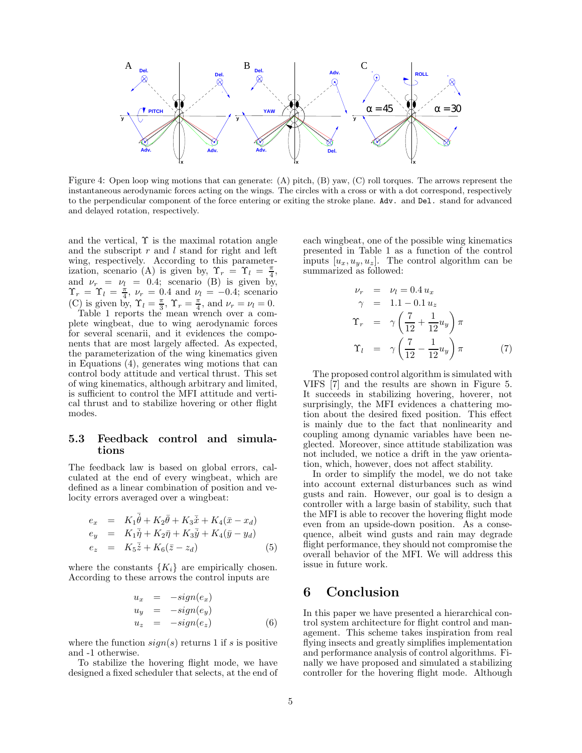

Figure 4: Open loop wing motions that can generate: (A) pitch, (B) yaw, (C) roll torques. The arrows represent the instantaneous aerodynamic forces acting on the wings. The circles with a cross or with a dot correspond, respectively to the perpendicular component of the force entering or exiting the stroke plane. Adv. and Del. stand for advanced and delayed rotation, respectively.

and the vertical,  $\Upsilon$  is the maximal rotation angle and the subscript  $r$  and  $l$  stand for right and left wing, respectively. According to this parameterization, scenario (A) is given by,  $\Upsilon_r = \Upsilon_l = \frac{\pi}{4}$ , and  $\nu_r = \nu_l = 0.4$ ; scenario (B) is given by,  $\Upsilon_r = \Upsilon_l = \frac{\pi}{4}$ ,  $\nu_r = 0.4$  and  $\nu_l = -0.4$ ; scenario (C) is given by,  $\Upsilon_l = \frac{\pi}{3}$ ,  $\Upsilon_r = \frac{\pi}{4}$ , and  $\nu_r = \nu_l = 0$ .

Table 1 reports the mean wrench over a complete wingbeat, due to wing aerodynamic forces for several scenarii, and it evidences the components that are most largely affected. As expected, the parameterization of the wing kinematics given in Equations (4), generates wing motions that can control body attitude and vertical thrust. This set of wing kinematics, although arbitrary and limited, is sufficient to control the MFI attitude and vertical thrust and to stabilize hovering or other flight modes.

#### 5.3 Feedback control and simulations

The feedback law is based on global errors, calculated at the end of every wingbeat, which are defined as a linear combination of position and velocity errors averaged over a wingbeat:

$$
e_x = K_1 \overline{\dot{\theta}} + K_2 \overline{\theta} + K_3 \overline{\dot{x}} + K_4 (\overline{x} - x_d)
$$
  
\n
$$
e_y = K_1 \overline{\dot{\eta}} + K_2 \overline{\eta} + K_3 \overline{\dot{y}} + K_4 (\overline{y} - y_d)
$$
  
\n
$$
e_z = K_5 \overline{\dot{z}} + K_6 (\overline{z} - z_d)
$$
 (5)

where the constants  $\{K_i\}$  are empirically chosen. According to these arrows the control inputs are

$$
u_x = -sign(e_x)
$$
  
\n
$$
u_y = -sign(e_y)
$$
  
\n
$$
u_z = -sign(e_z)
$$
 (6)

where the function  $sign(s)$  returns 1 if s is positive and -1 otherwise.

To stabilize the hovering flight mode, we have designed a fixed scheduler that selects, at the end of each wingbeat, one of the possible wing kinematics presented in Table 1 as a function of the control inputs  $[u_x, u_y, u_z]$ . The control algorithm can be summarized as followed:

$$
\nu_r = \nu_l = 0.4 u_x
$$
  
\n
$$
\gamma = 1.1 - 0.1 u_z
$$
  
\n
$$
\Upsilon_r = \gamma \left( \frac{7}{12} + \frac{1}{12} u_y \right) \pi
$$
  
\n
$$
\Upsilon_l = \gamma \left( \frac{7}{12} - \frac{1}{12} u_y \right) \pi
$$
 (7)

The proposed control algorithm is simulated with VIFS [7] and the results are shown in Figure 5. It succeeds in stabilizing hovering, hoverer, not surprisingly, the MFI evidences a chattering motion about the desired fixed position. This effect is mainly due to the fact that nonlinearity and coupling among dynamic variables have been neglected. Moreover, since attitude stabilization was not included, we notice a drift in the yaw orientation, which, however, does not affect stability.

In order to simplify the model, we do not take into account external disturbances such as wind gusts and rain. However, our goal is to design a controller with a large basin of stability, such that the MFI is able to recover the hovering flight mode even from an upside-down position. As a consequence, albeit wind gusts and rain may degrade flight performance, they should not compromise the overall behavior of the MFI. We will address this issue in future work.

### 6 Conclusion

In this paper we have presented a hierarchical control system architecture for flight control and management. This scheme takes inspiration from real flying insects and greatly simplifies implementation and performance analysis of control algorithms. Finally we have proposed and simulated a stabilizing controller for the hovering flight mode. Although